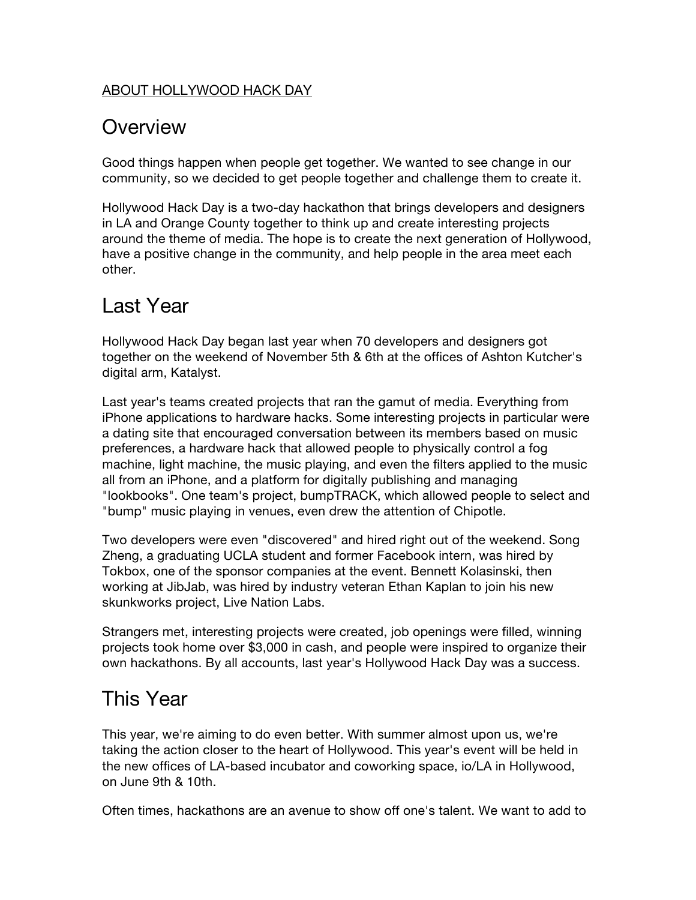#### ABOUT HOLLYWOOD HACK DAY

### **Overview**

Good things happen when people get together. We wanted to see change in our community, so we decided to get people together and challenge them to create it.

Hollywood Hack Day is a two-day hackathon that brings developers and designers in LA and Orange County together to think up and create interesting projects around the theme of media. The hope is to create the next generation of Hollywood, have a positive change in the community, and help people in the area meet each other.

# Last Year

Hollywood Hack Day began last year when 70 developers and designers got together on the weekend of November 5th & 6th at the offices of Ashton Kutcher's digital arm, Katalyst.

Last year's teams created projects that ran the gamut of media. Everything from iPhone applications to hardware hacks. Some interesting projects in particular were a dating site that encouraged conversation between its members based on music preferences, a hardware hack that allowed people to physically control a fog machine, light machine, the music playing, and even the filters applied to the music all from an iPhone, and a platform for digitally publishing and managing "lookbooks". One team's project, bumpTRACK, which allowed people to select and "bump" music playing in venues, even drew the attention of Chipotle.

Two developers were even "discovered" and hired right out of the weekend. Song Zheng, a graduating UCLA student and former Facebook intern, was hired by Tokbox, one of the sponsor companies at the event. Bennett Kolasinski, then working at JibJab, was hired by industry veteran Ethan Kaplan to join his new skunkworks project, Live Nation Labs.

Strangers met, interesting projects were created, job openings were filled, winning projects took home over \$3,000 in cash, and people were inspired to organize their own hackathons. By all accounts, last year's Hollywood Hack Day was a success.

# This Year

This year, we're aiming to do even better. With summer almost upon us, we're taking the action closer to the heart of Hollywood. This year's event will be held in the new offices of LA-based incubator and coworking space, io/LA in Hollywood, on June 9th & 10th.

Often times, hackathons are an avenue to show off one's talent. We want to add to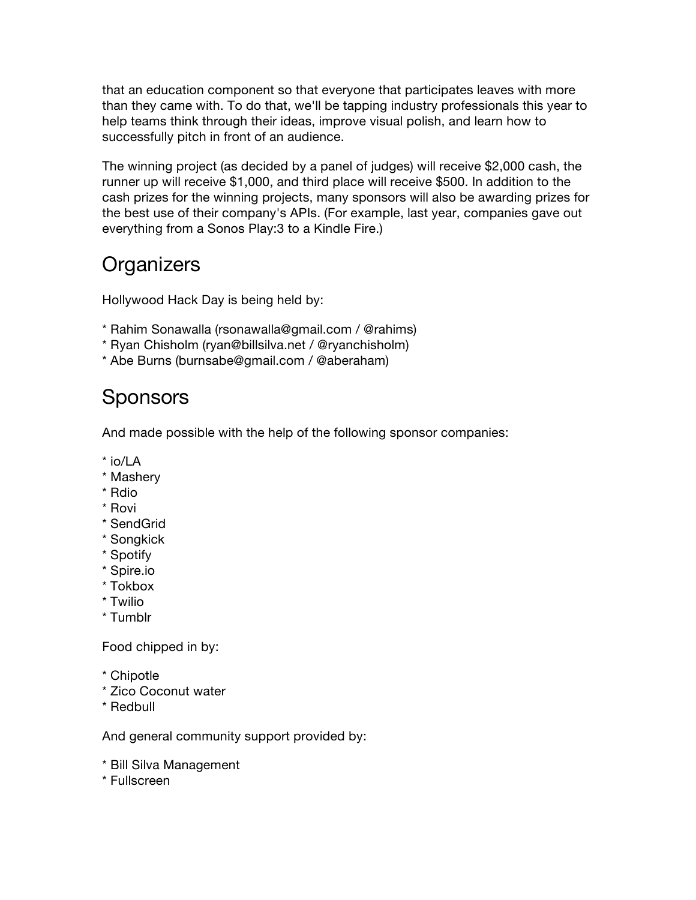that an education component so that everyone that participates leaves with more than they came with. To do that, we'll be tapping industry professionals this year to help teams think through their ideas, improve visual polish, and learn how to successfully pitch in front of an audience.

The winning project (as decided by a panel of judges) will receive \$2,000 cash, the runner up will receive \$1,000, and third place will receive \$500. In addition to the cash prizes for the winning projects, many sponsors will also be awarding prizes for the best use of their company's APIs. (For example, last year, companies gave out everything from a Sonos Play:3 to a Kindle Fire.)

# **Organizers**

Hollywood Hack Day is being held by:

- \* Rahim Sonawalla (rsonawalla@gmail.com / @rahims)
- \* Ryan Chisholm (ryan@billsilva.net / @ryanchisholm)
- \* Abe Burns (burnsabe@gmail.com / @aberaham)

## **Sponsors**

And made possible with the help of the following sponsor companies:

- \* io/LA
- \* Mashery
- \* Rdio
- \* Rovi
- \* SendGrid
- \* Songkick
- \* Spotify
- \* Spire.io
- \* Tokbox
- \* Twilio
- \* Tumblr

Food chipped in by:

- \* Chipotle
- \* Zico Coconut water
- \* Redbull

And general community support provided by:

- \* Bill Silva Management
- \* Fullscreen